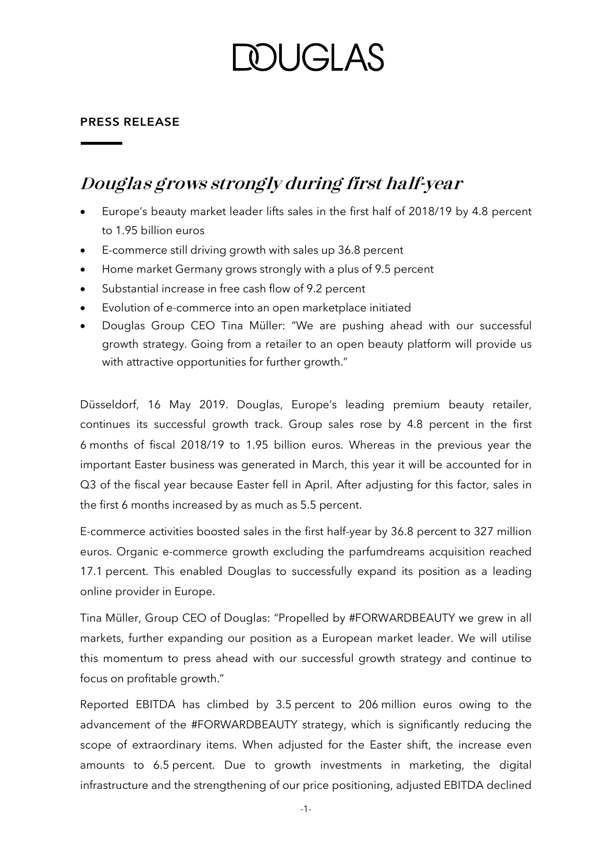## **DUGLAS**

#### **PRESS RELEASE**

### **Douglas grows strongly during first half-year**

- Europe's beauty market leader lifts sales in the first half of 2018/19 by 4.8 percent to 1.95 billion euros
- E-commerce still driving growth with sales up 36.8 percent
- Home market Germany grows strongly with a plus of 9.5 percent
- Substantial increase in free cash flow of 9.2 percent
- Evolution of e-commerce into an open marketplace initiated
- Douglas Group CEO Tina Müller: "We are pushing ahead with our successful growth strategy. Going from a retailer to an open beauty platform will provide us with attractive opportunities for further growth."

Düsseldorf, 16 May 2019. Douglas, Europe's leading premium beauty retailer, continues its successful growth track. Group sales rose by 4.8 percent in the first 6 months of fiscal 2018/19 to 1.95 billion euros. Whereas in the previous year the important Easter business was generated in March, this year it will be accounted for in Q3 of the fiscal year because Easter fell in April. After adjusting for this factor, sales in the first 6 months increased by as much as 5.5 percent.

E-commerce activities boosted sales in the first half-year by 36.8 percent to 327 million euros. Organic e-commerce growth excluding the parfumdreams acquisition reached 17.1 percent. This enabled Douglas to successfully expand its position as a leading online provider in Europe.

Tina Müller, Group CEO of Douglas: "Propelled by #FORWARDBEAUTY we grew in all markets, further expanding our position as a European market leader. We will utilise this momentum to press ahead with our successful growth strategy and continue to focus on profitable growth."

Reported EBITDA has climbed by 3.5 percent to 206 million euros owing to the advancement of the #FORWARDBEAUTY strategy, which is significantly reducing the scope of extraordinary items. When adjusted for the Easter shift, the increase even amounts to 6.5 percent. Due to growth investments in marketing, the digital infrastructure and the strengthening of our price positioning, adjusted EBITDA declined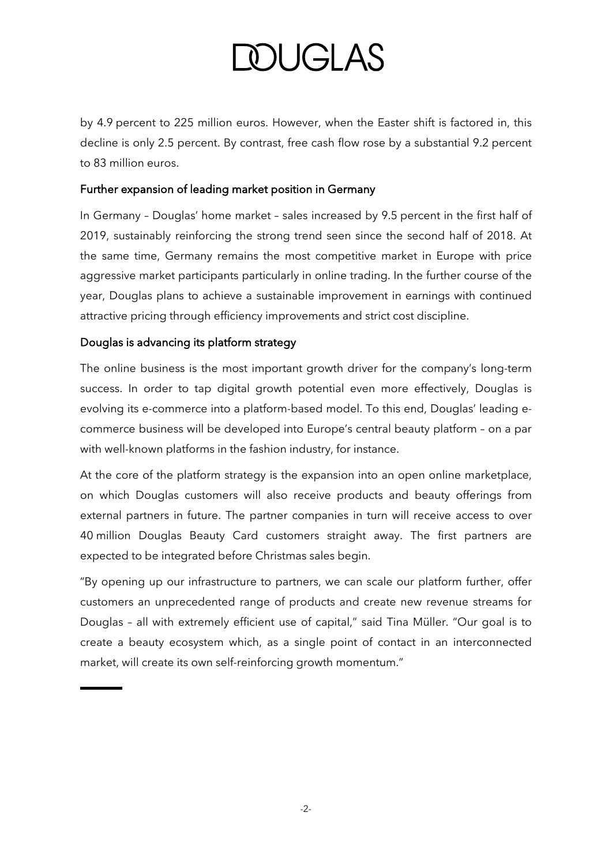# **DOUGLAS**

by 4.9 percent to 225 million euros. However, when the Easter shift is factored in, this decline is only 2.5 percent. By contrast, free cash flow rose by a substantial 9.2 percent to 83 million euros.

#### Further expansion of leading market position in Germany

In Germany – Douglas' home market – sales increased by 9.5 percent in the first half of 2019, sustainably reinforcing the strong trend seen since the second half of 2018. At the same time, Germany remains the most competitive market in Europe with price aggressive market participants particularly in online trading. In the further course of the year, Douglas plans to achieve a sustainable improvement in earnings with continued attractive pricing through efficiency improvements and strict cost discipline.

#### Douglas is advancing its platform strategy

The online business is the most important growth driver for the company's long-term success. In order to tap digital growth potential even more effectively, Douglas is evolving its e-commerce into a platform-based model. To this end, Douglas' leading ecommerce business will be developed into Europe's central beauty platform – on a par with well-known platforms in the fashion industry, for instance.

At the core of the platform strategy is the expansion into an open online marketplace, on which Douglas customers will also receive products and beauty offerings from external partners in future. The partner companies in turn will receive access to over 40 million Douglas Beauty Card customers straight away. The first partners are expected to be integrated before Christmas sales begin.

"By opening up our infrastructure to partners, we can scale our platform further, offer customers an unprecedented range of products and create new revenue streams for Douglas – all with extremely efficient use of capital," said Tina Müller. "Our goal is to create a beauty ecosystem which, as a single point of contact in an interconnected market, will create its own self-reinforcing growth momentum."